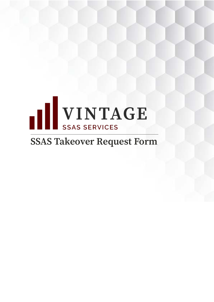

# **SSAS Takeover Request Form**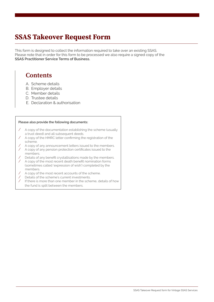## SSAS Takeover Request Form

This form is designed to collect the information required to take over an existing SSAS. Please note that in order for this form to be processed we also require a signed copy of the **SSAS Practitioner Service Terms of Business.**

### **Contents**

- A. Scheme details
- B. Employer details
- C. Member details
- D. Trustee details
- E. Declaration & authorisation

#### **Please also provide the following documents:**

- / A copy of the documentation establishing the scheme (usually a trust deed) and all subsequent deeds.
- / A copy of the HMRC letter confirming the registration of the scheme.
- A copy of any announcement letters issued to the members.
- / A copy of any pension protection certificates issued to the members.
- / Details of any benefit crystallisations made by the members.
- / A copy of the most recent death benefit nomination forms (sometimes called 'expression of wish') completed by the members.
- A copy of the most recent accounts of the scheme.
- $\angle$  Details of the scheme's current investments.<br> $\angle$  If there is more than one member in the sche
- If there is more than one member in the scheme, details of how the fund is split between the members.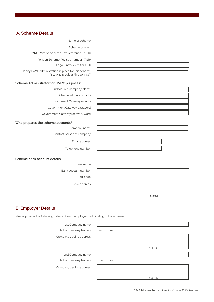#### **A. Scheme Details**

Name of scheme

Scheme contact

HMRC Pension Scheme Tax Reference (PSTR)

Pension Scheme Registry number (PSR)

Legal Entity Identifier (LEI)

Is any PAYE administration in place for this scheme If so, who provides this service?

#### **Scheme Administrator for HMRC purposes:**

Individual/ Company Name

Scheme administrator ID

Government Gateway user ID

Government Gateway password

Government Gateway recovery word

#### **Who prepares the scheme accounts?**

Company name

Contact person at company

Email address

Telephone number

**Scheme bank account details:**

Bank name Bank account number

Sort code

Bank address

#### **B. Employer Details**

Please provide the following details of each employer participating in the scheme.

| 1st Company name        |                  |
|-------------------------|------------------|
| Is the company trading  | Yes<br><b>No</b> |
| Company trading address |                  |
|                         | Postcode         |
| 2nd Company name        |                  |
| Is the company trading  | Yes<br>No        |
| Company trading address |                  |
|                         |                  |
|                         | Postcode         |

Postcode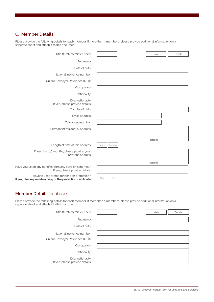### **C. Member Details**

Please provide the following details for each member. If more than 3 members, please provide additional information on a seperate sheet and attach it to this document.

| Title (Mr/Mrs/Miss/Other)                                                                                  |                 | Male     | Female |
|------------------------------------------------------------------------------------------------------------|-----------------|----------|--------|
| Full name                                                                                                  |                 |          |        |
| Date of birth                                                                                              |                 |          |        |
| National Insurance number                                                                                  |                 |          |        |
| Unique Taxpayer Reference (UTR)                                                                            |                 |          |        |
| Occupation                                                                                                 |                 |          |        |
| Nationality                                                                                                |                 |          |        |
| Dual nationality<br>If yes, please provide details                                                         |                 |          |        |
| Country of birth                                                                                           |                 |          |        |
| Email address                                                                                              |                 |          |        |
| Telephone number                                                                                           |                 |          |        |
| Permanent residential address                                                                              |                 |          |        |
|                                                                                                            |                 | Postcode |        |
| Length of time at this address                                                                             | Months<br>Years |          |        |
| If less than 36 months, please provide your<br>previous address                                            |                 |          |        |
|                                                                                                            |                 | Postcode |        |
| Have you taken any benefits from any pension schemes?<br>If yes, please provide details                    |                 |          |        |
| Have you registered for pension protection?<br>If yes, please provide a copy of the protection certificate | Yes<br>No       |          |        |

#### **Member Details** (continued)

Please provide the following details for each member. If more than 3 members, please provide additional information on a seperate sheet and attach it to this document.

| Title (Mr/Mrs/Miss/Other)                          |  | Male | Female |
|----------------------------------------------------|--|------|--------|
| Full name                                          |  |      |        |
| Date of birth                                      |  |      |        |
| National Insurance number                          |  |      |        |
| Unique Taxpayer Reference (UTR)                    |  |      |        |
| Occupation                                         |  |      |        |
| Nationality                                        |  |      |        |
| Dual nationality<br>If yes, please provide details |  |      |        |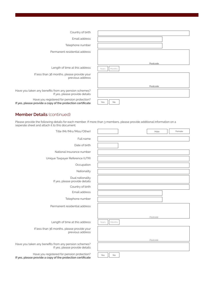| Country of birth<br>Email address<br>Telephone number<br>Permanent residential address<br>Postcode<br>Length of time at this address<br>Months<br>Years<br>If less than 36 months, please provide your<br>previous address<br>Postcode<br>If yes, please provide details<br>Have you registered for pension protection?<br>No<br>Yes |                                                             |  |
|--------------------------------------------------------------------------------------------------------------------------------------------------------------------------------------------------------------------------------------------------------------------------------------------------------------------------------------|-------------------------------------------------------------|--|
|                                                                                                                                                                                                                                                                                                                                      |                                                             |  |
|                                                                                                                                                                                                                                                                                                                                      |                                                             |  |
|                                                                                                                                                                                                                                                                                                                                      |                                                             |  |
|                                                                                                                                                                                                                                                                                                                                      |                                                             |  |
|                                                                                                                                                                                                                                                                                                                                      |                                                             |  |
|                                                                                                                                                                                                                                                                                                                                      |                                                             |  |
|                                                                                                                                                                                                                                                                                                                                      |                                                             |  |
|                                                                                                                                                                                                                                                                                                                                      |                                                             |  |
|                                                                                                                                                                                                                                                                                                                                      |                                                             |  |
|                                                                                                                                                                                                                                                                                                                                      |                                                             |  |
|                                                                                                                                                                                                                                                                                                                                      | Have you taken any benefits from any pension schemes?       |  |
|                                                                                                                                                                                                                                                                                                                                      | If yes, please provide a copy of the protection certificate |  |

#### **Member Details** (continued)

Please provide the following details for each member. If more than 3 members, please provide additional information on a seperate sheet and attach it to this document.

| Title (Mr/Mrs/Miss/Other)                                                                                  |                 | Male     | Female |
|------------------------------------------------------------------------------------------------------------|-----------------|----------|--------|
| Full name                                                                                                  |                 |          |        |
| Date of birth                                                                                              |                 |          |        |
| National Insurance number                                                                                  |                 |          |        |
| Unique Taxpayer Reference (UTR)                                                                            |                 |          |        |
| Occupation                                                                                                 |                 |          |        |
| Nationality                                                                                                |                 |          |        |
| Dual nationality<br>If yes, please provide details                                                         |                 |          |        |
| Country of birth                                                                                           |                 |          |        |
| Email address                                                                                              |                 |          |        |
| Telephone number                                                                                           |                 |          |        |
| Permanent residential address                                                                              |                 |          |        |
|                                                                                                            |                 | Postcode |        |
| Length of time at this address                                                                             | Months<br>Years |          |        |
| If less than 36 months, please provide your<br>previous address                                            |                 |          |        |
|                                                                                                            |                 | Postcode |        |
| Have you taken any benefits from any pension schemes?<br>If yes, please provide details                    |                 |          |        |
| Have you registered for pension protection?<br>If yes, please provide a copy of the protection certificate | Yes<br>No       |          |        |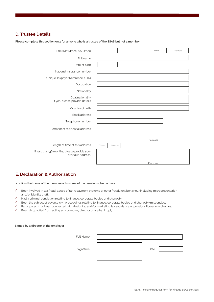#### **D. Trustee Details**

| Title (Mr/Mrs/Miss/Other)                                        | Male<br>Female  |
|------------------------------------------------------------------|-----------------|
| Full name                                                        |                 |
| Date of birth                                                    |                 |
| National Insurance number                                        |                 |
| Unique Taxpayer Reference (UTR)                                  |                 |
| Occupation                                                       |                 |
| Nationality                                                      |                 |
| Dual nationality<br>If yes, please provide details               |                 |
| Country of birth                                                 |                 |
| Email address                                                    |                 |
| Telephone number                                                 |                 |
| Permanent residential address                                    |                 |
|                                                                  | Postcode        |
| Length of time at this address                                   | Months<br>Years |
| If less than 36 months, please provide your<br>previous address. |                 |
|                                                                  | Postcode        |

**Please complete this section only for anyone who is a trustee of the SSAS but not a member.**

#### **E. Declaration & Authorisation**

**I confirm that none of the members/ trustees of the pension scheme have:**

- / Been involved in tax fraud, abuse of tax repayment systems or other fraudulent behaviour including misrepresentation and/or identity theft;
- / Had a criminal conviction relating to finance, corporate bodies or dishonesty;
- Heen the subject of adverse civil proceedings relating to finance, corporate bodies or dishonesty/misconduct;<br>A Participated in or been connected with designing and/or marketing tax avoidance or pensions liberation schen
- / Participated in or been connected with designing and/or marketing tax avoidance or pensions liberation schemes;<br>/ Been disqualified from acting as a company director or are bankrupt:

Been disqualified from acting as a company director or are bankrupt;

#### **Signed by a director of the employer**

| Full Name: |       |  |
|------------|-------|--|
| Signature: | Date: |  |
|            |       |  |